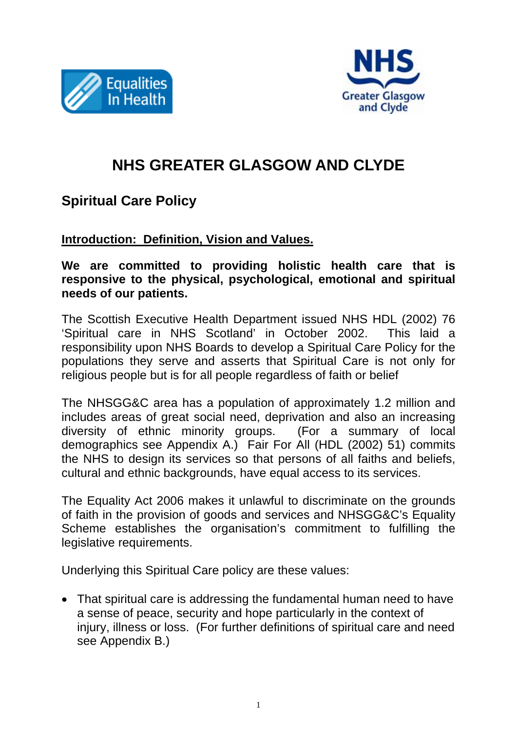



# **NHS GREATER GLASGOW AND CLYDE**

## **Spiritual Care Policy**

#### **Introduction: Definition, Vision and Values.**

#### **We are committed to providing holistic health care that is responsive to the physical, psychological, emotional and spiritual needs of our patients.**

The Scottish Executive Health Department issued NHS HDL (2002) 76 'Spiritual care in NHS Scotland' in October 2002. This laid a responsibility upon NHS Boards to develop a Spiritual Care Policy for the populations they serve and asserts that Spiritual Care is not only for religious people but is for all people regardless of faith or belief

The NHSGG&C area has a population of approximately 1.2 million and includes areas of great social need, deprivation and also an increasing diversity of ethnic minority groups. (For a summary of local demographics see Appendix A.) Fair For All (HDL (2002) 51) commits the NHS to design its services so that persons of all faiths and beliefs, cultural and ethnic backgrounds, have equal access to its services.

The Equality Act 2006 makes it unlawful to discriminate on the grounds of faith in the provision of goods and services and NHSGG&C's Equality Scheme establishes the organisation's commitment to fulfilling the legislative requirements.

Underlying this Spiritual Care policy are these values:

• That spiritual care is addressing the fundamental human need to have a sense of peace, security and hope particularly in the context of injury, illness or loss. (For further definitions of spiritual care and need see Appendix B.)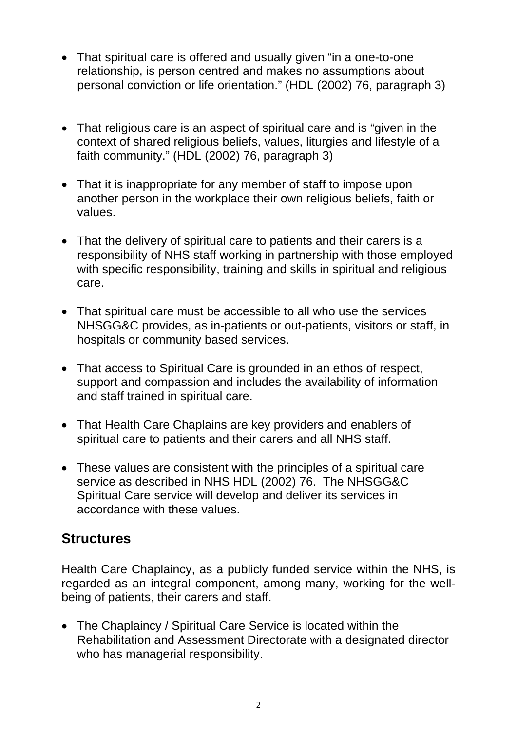- That spiritual care is offered and usually given "in a one-to-one relationship, is person centred and makes no assumptions about personal conviction or life orientation." (HDL (2002) 76, paragraph 3)
- That religious care is an aspect of spiritual care and is "given in the context of shared religious beliefs, values, liturgies and lifestyle of a faith community." (HDL (2002) 76, paragraph 3)
- That it is inappropriate for any member of staff to impose upon another person in the workplace their own religious beliefs, faith or values.
- That the delivery of spiritual care to patients and their carers is a responsibility of NHS staff working in partnership with those employed with specific responsibility, training and skills in spiritual and religious care.
- That spiritual care must be accessible to all who use the services NHSGG&C provides, as in-patients or out-patients, visitors or staff, in hospitals or community based services.
- That access to Spiritual Care is grounded in an ethos of respect, support and compassion and includes the availability of information and staff trained in spiritual care.
- That Health Care Chaplains are key providers and enablers of spiritual care to patients and their carers and all NHS staff.
- These values are consistent with the principles of a spiritual care service as described in NHS HDL (2002) 76. The NHSGG&C Spiritual Care service will develop and deliver its services in accordance with these values.

## **Structures**

Health Care Chaplaincy, as a publicly funded service within the NHS, is regarded as an integral component, among many, working for the wellbeing of patients, their carers and staff.

• The Chaplaincy / Spiritual Care Service is located within the Rehabilitation and Assessment Directorate with a designated director who has managerial responsibility.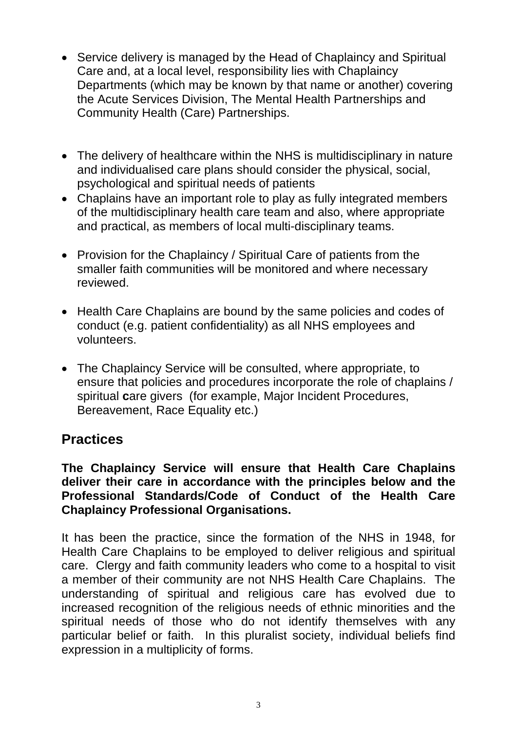- Service delivery is managed by the Head of Chaplaincy and Spiritual Care and, at a local level, responsibility lies with Chaplaincy Departments (which may be known by that name or another) covering the Acute Services Division, The Mental Health Partnerships and Community Health (Care) Partnerships.
- The delivery of healthcare within the NHS is multidisciplinary in nature and individualised care plans should consider the physical, social, psychological and spiritual needs of patients
- Chaplains have an important role to play as fully integrated members of the multidisciplinary health care team and also, where appropriate and practical, as members of local multi-disciplinary teams.
- Provision for the Chaplaincy / Spiritual Care of patients from the smaller faith communities will be monitored and where necessary reviewed.
- Health Care Chaplains are bound by the same policies and codes of conduct (e.g. patient confidentiality) as all NHS employees and volunteers.
- The Chaplaincy Service will be consulted, where appropriate, to ensure that policies and procedures incorporate the role of chaplains / spiritual **c**are givers (for example, Major Incident Procedures, Bereavement, Race Equality etc.)

### **Practices**

**The Chaplaincy Service will ensure that Health Care Chaplains deliver their care in accordance with the principles below and the Professional Standards/Code of Conduct of the Health Care Chaplaincy Professional Organisations.** 

It has been the practice, since the formation of the NHS in 1948, for Health Care Chaplains to be employed to deliver religious and spiritual care. Clergy and faith community leaders who come to a hospital to visit a member of their community are not NHS Health Care Chaplains. The understanding of spiritual and religious care has evolved due to increased recognition of the religious needs of ethnic minorities and the spiritual needs of those who do not identify themselves with any particular belief or faith. In this pluralist society, individual beliefs find expression in a multiplicity of forms.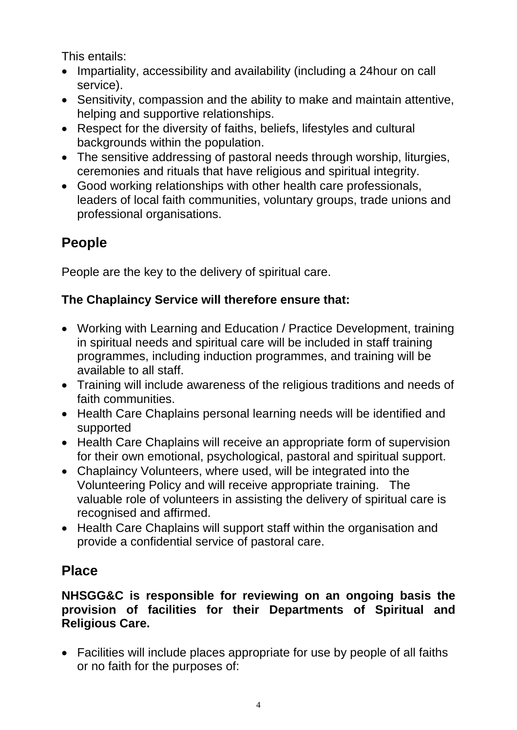This entails:

- Impartiality, accessibility and availability (including a 24hour on call service).
- Sensitivity, compassion and the ability to make and maintain attentive, helping and supportive relationships.
- Respect for the diversity of faiths, beliefs, lifestyles and cultural backgrounds within the population.
- The sensitive addressing of pastoral needs through worship, liturgies, ceremonies and rituals that have religious and spiritual integrity.
- Good working relationships with other health care professionals, leaders of local faith communities, voluntary groups, trade unions and professional organisations.

# **People**

People are the key to the delivery of spiritual care.

## **The Chaplaincy Service will therefore ensure that:**

- Working with Learning and Education / Practice Development, training in spiritual needs and spiritual care will be included in staff training programmes, including induction programmes, and training will be available to all staff.
- Training will include awareness of the religious traditions and needs of faith communities.
- Health Care Chaplains personal learning needs will be identified and supported
- Health Care Chaplains will receive an appropriate form of supervision for their own emotional, psychological, pastoral and spiritual support.
- Chaplaincy Volunteers, where used, will be integrated into the Volunteering Policy and will receive appropriate training. The valuable role of volunteers in assisting the delivery of spiritual care is recognised and affirmed.
- Health Care Chaplains will support staff within the organisation and provide a confidential service of pastoral care.

## **Place**

### **NHSGG&C is responsible for reviewing on an ongoing basis the provision of facilities for their Departments of Spiritual and Religious Care.**

• Facilities will include places appropriate for use by people of all faiths or no faith for the purposes of: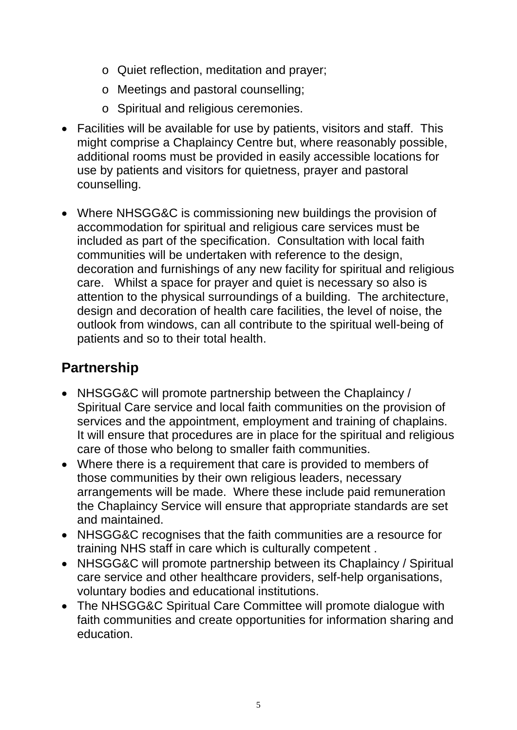- o Quiet reflection, meditation and prayer;
- o Meetings and pastoral counselling;
- o Spiritual and religious ceremonies.
- Facilities will be available for use by patients, visitors and staff. This might comprise a Chaplaincy Centre but, where reasonably possible, additional rooms must be provided in easily accessible locations for use by patients and visitors for quietness, prayer and pastoral counselling.
- Where NHSGG&C is commissioning new buildings the provision of accommodation for spiritual and religious care services must be included as part of the specification. Consultation with local faith communities will be undertaken with reference to the design, decoration and furnishings of any new facility for spiritual and religious care. Whilst a space for prayer and quiet is necessary so also is attention to the physical surroundings of a building. The architecture, design and decoration of health care facilities, the level of noise, the outlook from windows, can all contribute to the spiritual well-being of patients and so to their total health.

## **Partnership**

- NHSGG&C will promote partnership between the Chaplaincy / Spiritual Care service and local faith communities on the provision of services and the appointment, employment and training of chaplains. It will ensure that procedures are in place for the spiritual and religious care of those who belong to smaller faith communities.
- Where there is a requirement that care is provided to members of those communities by their own religious leaders, necessary arrangements will be made. Where these include paid remuneration the Chaplaincy Service will ensure that appropriate standards are set and maintained.
- NHSGG&C recognises that the faith communities are a resource for training NHS staff in care which is culturally competent .
- NHSGG&C will promote partnership between its Chaplaincy / Spiritual care service and other healthcare providers, self-help organisations, voluntary bodies and educational institutions.
- The NHSGG&C Spiritual Care Committee will promote dialogue with faith communities and create opportunities for information sharing and education.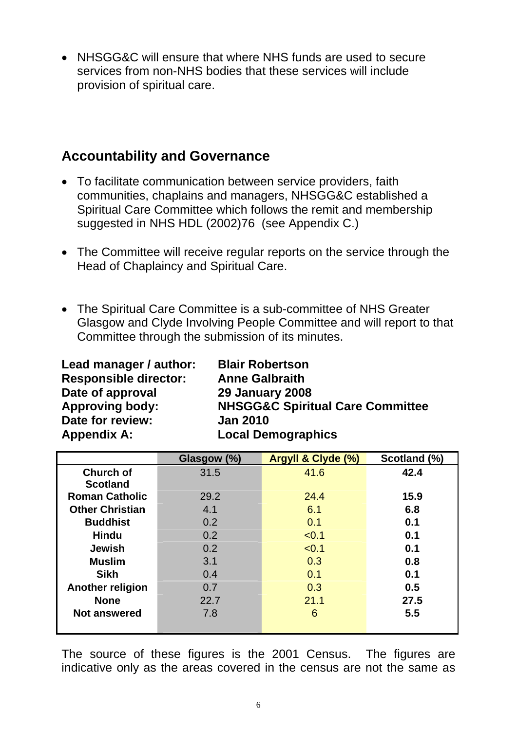• NHSGG&C will ensure that where NHS funds are used to secure services from non-NHS bodies that these services will include provision of spiritual care.

### **Accountability and Governance**

- To facilitate communication between service providers, faith communities, chaplains and managers, NHSGG&C established a Spiritual Care Committee which follows the remit and membership suggested in NHS HDL (2002)76 (see Appendix C.)
- The Committee will receive regular reports on the service through the Head of Chaplaincy and Spiritual Care.
- The Spiritual Care Committee is a sub-committee of NHS Greater Glasgow and Clyde Involving People Committee and will report to that Committee through the submission of its minutes.

| Lead manager / author:       | <b>Blair Robertson</b>         |  |
|------------------------------|--------------------------------|--|
| <b>Responsible director:</b> | <b>Anne Galbraith</b>          |  |
| Date of approval             | <b>29 January 2008</b>         |  |
| <b>Approving body:</b>       | <b>NHSGG&amp;C Spiritual (</b> |  |
| Date for review:             | <b>Jan 2010</b>                |  |
| <b>Appendix A:</b>           | <b>Local Demographics</b>      |  |

**League Blair Robertson Anne Galbraith 29 January 2008 NHSGG&C Spiritual Care Committee Jan 2010** 

|                         | Glasgow (%) | Argyll & Clyde (%) | Scotland (%) |
|-------------------------|-------------|--------------------|--------------|
| <b>Church of</b>        | 31.5        | 41.6               | 42.4         |
| <b>Scotland</b>         |             |                    |              |
| <b>Roman Catholic</b>   | 29.2        | 24.4               | 15.9         |
| <b>Other Christian</b>  | 4.1         | 6.1                | 6.8          |
| <b>Buddhist</b>         | 0.2         | 0.1                | 0.1          |
| <b>Hindu</b>            | 0.2         | < 0.1              | 0.1          |
| <b>Jewish</b>           | 0.2         | < 0.1              | 0.1          |
| <b>Muslim</b>           | 3.1         | 0.3                | 0.8          |
| <b>Sikh</b>             | 0.4         | 0.1                | 0.1          |
| <b>Another religion</b> | 0.7         | 0.3                | 0.5          |
| <b>None</b>             | 22.7        | 21.1               | 27.5         |
| <b>Not answered</b>     | 7.8         | 6                  | 5.5          |
|                         |             |                    |              |

The source of these figures is the 2001 Census. The figures are indicative only as the areas covered in the census are not the same as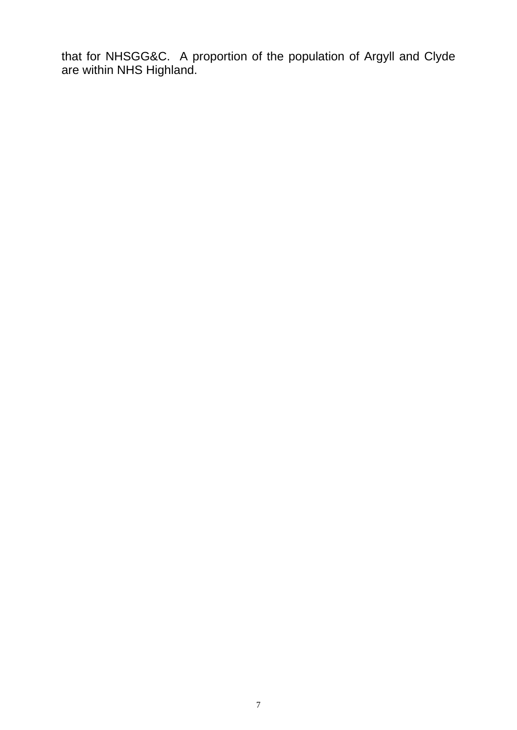that for NHSGG&C. A proportion of the population of Argyll and Clyde are within NHS Highland.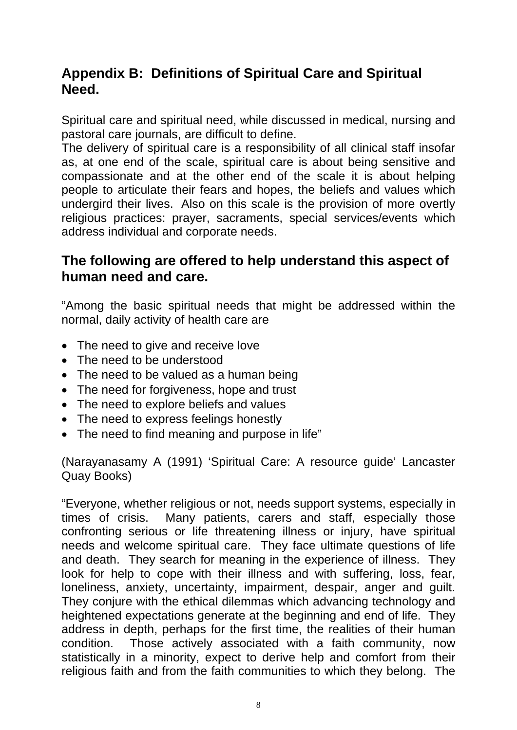## **Appendix B: Definitions of Spiritual Care and Spiritual Need.**

Spiritual care and spiritual need, while discussed in medical, nursing and pastoral care journals, are difficult to define.

The delivery of spiritual care is a responsibility of all clinical staff insofar as, at one end of the scale, spiritual care is about being sensitive and compassionate and at the other end of the scale it is about helping people to articulate their fears and hopes, the beliefs and values which undergird their lives. Also on this scale is the provision of more overtly religious practices: prayer, sacraments, special services/events which address individual and corporate needs.

### **The following are offered to help understand this aspect of human need and care.**

"Among the basic spiritual needs that might be addressed within the normal, daily activity of health care are

- The need to give and receive love
- The need to be understood
- The need to be valued as a human being
- The need for forgiveness, hope and trust
- The need to explore beliefs and values
- The need to express feelings honestly
- The need to find meaning and purpose in life"

(Narayanasamy A (1991) 'Spiritual Care: A resource guide' Lancaster Quay Books)

"Everyone, whether religious or not, needs support systems, especially in times of crisis. Many patients, carers and staff, especially those confronting serious or life threatening illness or injury, have spiritual needs and welcome spiritual care. They face ultimate questions of life and death. They search for meaning in the experience of illness. They look for help to cope with their illness and with suffering, loss, fear, loneliness, anxiety, uncertainty, impairment, despair, anger and guilt. They conjure with the ethical dilemmas which advancing technology and heightened expectations generate at the beginning and end of life. They address in depth, perhaps for the first time, the realities of their human condition. Those actively associated with a faith community, now statistically in a minority, expect to derive help and comfort from their religious faith and from the faith communities to which they belong. The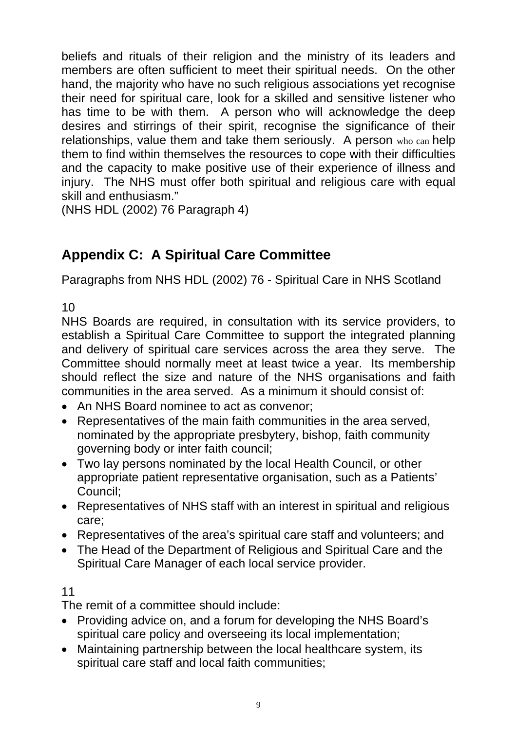beliefs and rituals of their religion and the ministry of its leaders and members are often sufficient to meet their spiritual needs. On the other hand, the majority who have no such religious associations yet recognise their need for spiritual care, look for a skilled and sensitive listener who has time to be with them. A person who will acknowledge the deep desires and stirrings of their spirit, recognise the significance of their relationships, value them and take them seriously. A person who can help them to find within themselves the resources to cope with their difficulties and the capacity to make positive use of their experience of illness and injury. The NHS must offer both spiritual and religious care with equal skill and enthusiasm."

(NHS HDL (2002) 76 Paragraph 4)

## **Appendix C: A Spiritual Care Committee**

Paragraphs from NHS HDL (2002) 76 - Spiritual Care in NHS Scotland

10

NHS Boards are required, in consultation with its service providers, to establish a Spiritual Care Committee to support the integrated planning and delivery of spiritual care services across the area they serve. The Committee should normally meet at least twice a year. Its membership should reflect the size and nature of the NHS organisations and faith communities in the area served. As a minimum it should consist of:

- An NHS Board nominee to act as convenor:
- Representatives of the main faith communities in the area served, nominated by the appropriate presbytery, bishop, faith community governing body or inter faith council;
- Two lay persons nominated by the local Health Council, or other appropriate patient representative organisation, such as a Patients' Council;
- Representatives of NHS staff with an interest in spiritual and religious care;
- Representatives of the area's spiritual care staff and volunteers; and
- The Head of the Department of Religious and Spiritual Care and the Spiritual Care Manager of each local service provider.

### 11

The remit of a committee should include:

- Providing advice on, and a forum for developing the NHS Board's spiritual care policy and overseeing its local implementation;
- Maintaining partnership between the local healthcare system, its spiritual care staff and local faith communities;